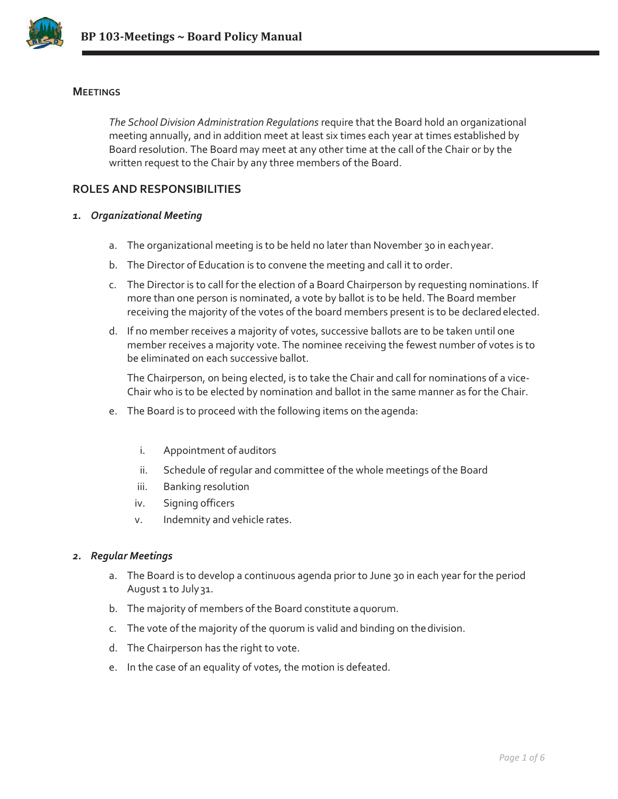

### **MEETINGS**

*The School Division Administration Regulations* require that the Board hold an organizational meeting annually, and in addition meet at least six times each year at times established by Board resolution. The Board may meet at any other time at the call of the Chair or by the written request to the Chair by any three members of the Board.

# **ROLES AND RESPONSIBILITIES**

#### *1. Organizational Meeting*

- a. The organizational meeting is to be held no later than November 30 in eachyear.
- b. The Director of Education is to convene the meeting and call it to order.
- c. The Director is to call for the election of a Board Chairperson by requesting nominations. If more than one person is nominated, a vote by ballot is to be held. The Board member receiving the majority of the votes of the board members present is to be declared elected.
- d. If no member receives a majority of votes, successive ballots are to be taken until one member receives a majority vote. The nominee receiving the fewest number of votes is to be eliminated on each successive ballot.

The Chairperson, on being elected, is to take the Chair and call for nominations of a vice-Chair who is to be elected by nomination and ballot in the same manner as for the Chair.

- e. The Board is to proceed with the following items on the agenda:
	- i. Appointment of auditors
	- ii. Schedule of regular and committee of the whole meetings of the Board
	- iii. Banking resolution
	- iv. Signing officers
	- v. Indemnity and vehicle rates.

#### *2. Regular Meetings*

- a. The Board is to develop a continuous agenda prior to June 30 in each year for the period August 1 to July 31.
- b. The majority of members of the Board constitute aquorum.
- c. The vote of the majority of the quorum is valid and binding on thedivision.
- d. The Chairperson has the right to vote.
- e. In the case of an equality of votes, the motion is defeated.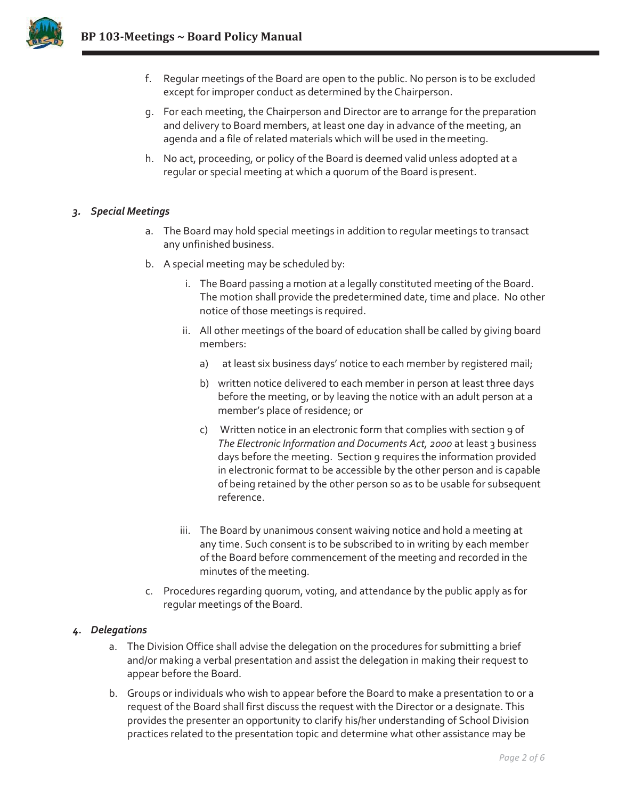

- f. Regular meetings of the Board are open to the public. No person is to be excluded except for improper conduct as determined by theChairperson.
- g. For each meeting, the Chairperson and Director are to arrange for the preparation and delivery to Board members, at least one day in advance of the meeting, an agenda and a file of related materials which will be used in themeeting.
- h. No act, proceeding, or policy of the Board is deemed valid unless adopted at a regular or special meeting at which a quorum of the Board is present.

### *3. Special Meetings*

- a. The Board may hold special meetings in addition to regular meetings to transact any unfinished business.
- b. A special meeting may be scheduled by:
	- i. The Board passing a motion at a legally constituted meeting of the Board. The motion shall provide the predetermined date, time and place. No other notice of those meetings is required.
	- ii. All other meetings of the board of education shall be called by giving board members:
		- a) at least six business days' notice to each member by registered mail;
		- b) written notice delivered to each member in person at least three days before the meeting, or by leaving the notice with an adult person at a member's place of residence; or
		- c) Written notice in an electronic form that complies with section 9 of *The Electronic Information and Documents Act, 2000* at least 3 business days before the meeting. Section 9 requires the information provided in electronic format to be accessible by the other person and is capable of being retained by the other person so as to be usable for subsequent reference.
	- iii. The Board by unanimous consent waiving notice and hold a meeting at any time. Such consent is to be subscribed to in writing by each member of the Board before commencement of the meeting and recorded in the minutes of the meeting.
- c. Procedures regarding quorum, voting, and attendance by the public apply as for regular meetings of the Board.

# *4. Delegations*

- a. The Division Office shall advise the delegation on the procedures for submitting a brief and/or making a verbal presentation and assist the delegation in making their request to appear before the Board.
- b. Groups or individuals who wish to appear before the Board to make a presentation to or a request of the Board shall first discuss the request with the Director or a designate. This provides the presenter an opportunity to clarify his/her understanding of School Division practices related to the presentation topic and determine what other assistance may be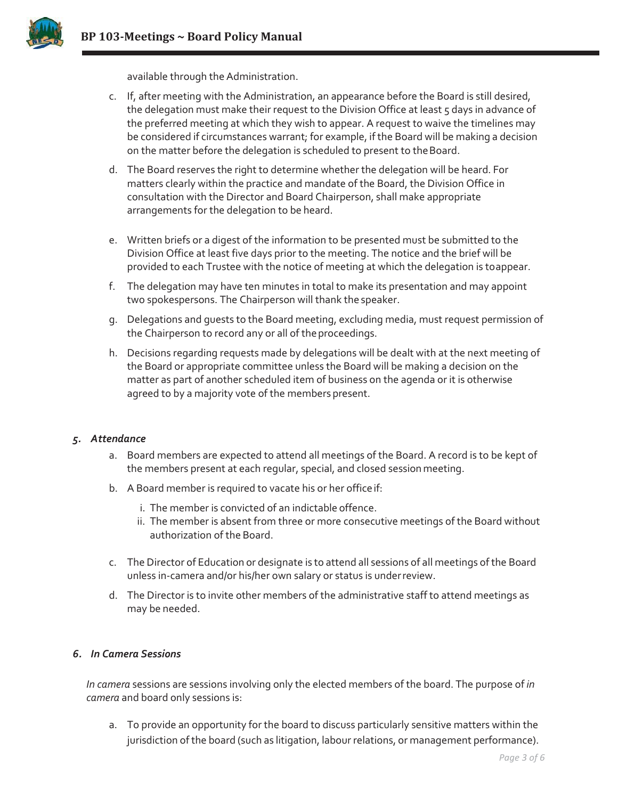

available through the Administration.

- c. If, after meeting with the Administration, an appearance before the Board is still desired, the delegation must make their request to the Division Office at least 5 days in advance of the preferred meeting at which they wish to appear. A request to waive the timelines may be considered if circumstances warrant; for example, if the Board will be making a decision on the matter before the delegation is scheduled to present to the Board.
- d. The Board reserves the right to determine whether the delegation will be heard. For matters clearly within the practice and mandate of the Board, the Division Office in consultation with the Director and Board Chairperson, shall make appropriate arrangements for the delegation to be heard.
- e. Written briefs or a digest of the information to be presented must be submitted to the Division Office at least five days prior to the meeting. The notice and the brief will be provided to each Trustee with the notice of meeting at which the delegation is toappear.
- f. The delegation may have ten minutes in total to make its presentation and may appoint two spokespersons. The Chairperson will thank the speaker.
- g. Delegations and guests to the Board meeting, excluding media, must request permission of the Chairperson to record any or all of the proceedings.
- h. Decisions regarding requests made by delegations will be dealt with at the next meeting of the Board or appropriate committee unless the Board will be making a decision on the matter as part of another scheduled item of business on the agenda or it is otherwise agreed to by a majority vote of the members present.

### *5. Attendance*

- a. Board members are expected to attend all meetings of the Board. A record is to be kept of the members present at each regular, special, and closed sessionmeeting.
- b. A Board member is required to vacate his or her officeif:
	- i. The member is convicted of an indictable offence.
	- ii. The member is absent from three or more consecutive meetings of the Board without authorization of the Board.
- c. The Director of Education or designate is to attend all sessions of all meetings ofthe Board unless in-camera and/or his/her own salary or status is underreview.
- d. The Director is to invite other members of the administrative staff to attend meetings as may be needed.

### *6. In Camera Sessions*

*In camera* sessions are sessions involving only the elected members of the board. The purpose of *in camera* and board only sessions is:

a. To provide an opportunity for the board to discuss particularly sensitive matters within the jurisdiction ofthe board (such as litigation, labour relations, or management performance).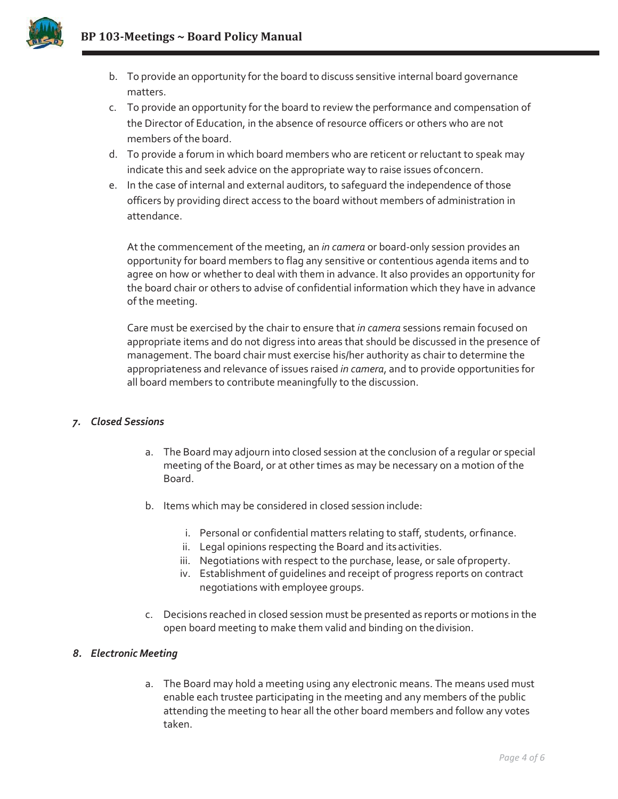

- b. To provide an opportunity for the board to discuss sensitive internal board governance matters.
- c. To provide an opportunity for the board to review the performance and compensation of the Director of Education, in the absence of resource officers or others who are not members of the board.
- d. To provide a forum in which board members who are reticent or reluctant to speak may indicate this and seek advice on the appropriate way to raise issues ofconcern.
- e. In the case of internal and external auditors, to safeguard the independence of those officers by providing direct access to the board without members of administration in attendance.

At the commencement of the meeting, an *in camera* or board-only session provides an opportunity for board members to flag any sensitive or contentious agenda items and to agree on how or whether to deal with them in advance. It also provides an opportunity for the board chair or others to advise of confidential information which they have in advance of the meeting.

Care must be exercised by the chair to ensure that *in camera* sessions remain focused on appropriate items and do not digress into areas that should be discussed in the presence of management. The board chair must exercise his/her authority as chair to determine the appropriateness and relevance of issues raised *in camera*, and to provide opportunities for all board members to contribute meaningfully to the discussion.

# *7. Closed Sessions*

- a. The Board may adjourn into closed session at the conclusion of a regular or special meeting of the Board, or at other times as may be necessary on a motion of the Board.
- b. Items which may be considered in closed session include:
	- i. Personal or confidential matters relating to staff, students, orfinance.
	- ii. Legal opinions respecting the Board and its activities.
	- iii. Negotiations with respect to the purchase, lease, or sale of property.
	- iv. Establishment of guidelines and receipt of progress reports on contract negotiations with employee groups.
- c. Decisions reached in closed session must be presented as reports or motions in the open board meeting to make them valid and binding on thedivision.

# *8. Electronic Meeting*

a. The Board may hold a meeting using any electronic means. The means used must enable each trustee participating in the meeting and any members of the public attending the meeting to hear all the other board members and follow any votes taken.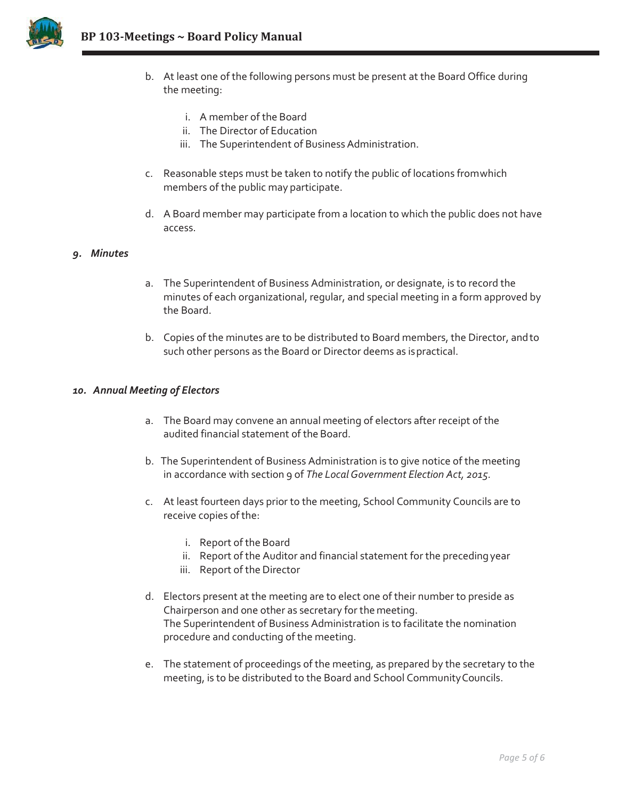

- b. At least one of the following persons must be present at the Board Office during the meeting:
	- i. A member of the Board
	- ii. The Director of Education
	- iii. The Superintendent of Business Administration.
- c. Reasonable steps must be taken to notify the public of locations fromwhich members of the public may participate.
- d. A Board member may participate from a location to which the public does not have access.

#### *9. Minutes*

- a. The Superintendent of Business Administration, or designate, is to record the minutes of each organizational, regular, and special meeting in a form approved by the Board.
- b. Copies of the minutes are to be distributed to Board members, the Director, andto such other persons as the Board or Director deems as ispractical.

#### *10. Annual Meeting of Electors*

- a. The Board may convene an annual meeting of electors after receipt of the audited financial statement of the Board.
- b. The Superintendent of Business Administration is to give notice of the meeting in accordance with section 9 of *The LocalGovernment Election Act, 2015.*
- c. At least fourteen days prior to the meeting, School Community Councils are to receive copies of the:
	- i. Report of the Board
	- ii. Report of the Auditor and financial statement for the preceding year
	- iii. Report of the Director
- d. Electors present at the meeting are to elect one of their number to preside as Chairperson and one other as secretary for the meeting. The Superintendent of Business Administration is to facilitate the nomination procedure and conducting of the meeting.
- e. The statement of proceedings of the meeting, as prepared by the secretary to the meeting, is to be distributed to the Board and School CommunityCouncils.